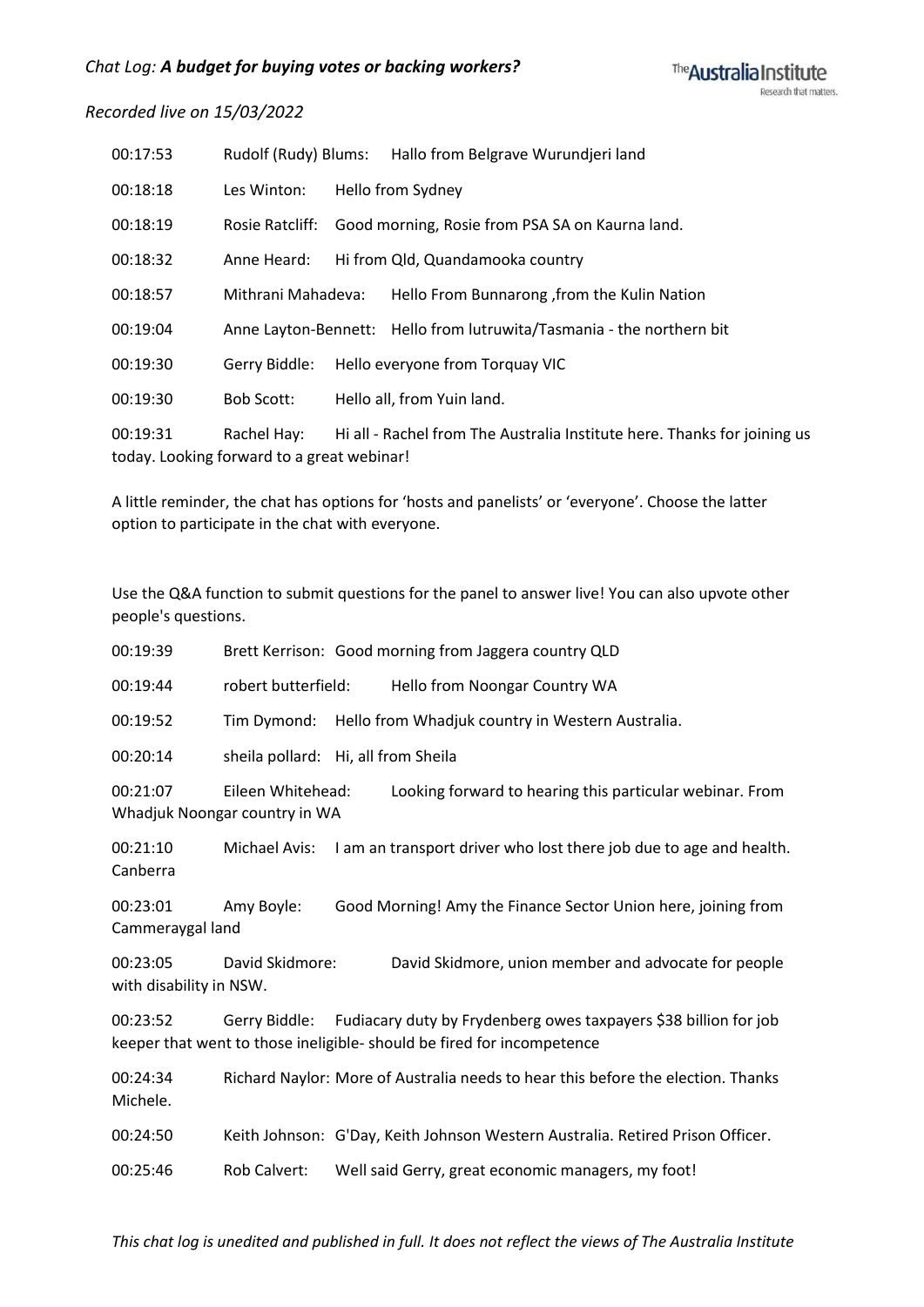| 00:17:53 | Rudolf (Rudy) Blums:                                      | Hallo from Belgrave Wurundjeri land                                      |
|----------|-----------------------------------------------------------|--------------------------------------------------------------------------|
| 00:18:18 | Les Winton:                                               | Hello from Sydney                                                        |
| 00:18:19 |                                                           | Rosie Ratcliff: Good morning, Rosie from PSA SA on Kaurna land.          |
| 00:18:32 | Anne Heard:                                               | Hi from Qld, Quandamooka country                                         |
| 00:18:57 | Mithrani Mahadeva:                                        | Hello From Bunnarong, from the Kulin Nation                              |
| 00:19:04 |                                                           | Anne Layton-Bennett: Hello from lutruwita/Tasmania - the northern bit    |
| 00:19:30 | Gerry Biddle:                                             | Hello everyone from Torquay VIC                                          |
| 00:19:30 | <b>Bob Scott:</b>                                         | Hello all, from Yuin land.                                               |
| 00:19:31 | Rachel Hay:<br>today. Looking forward to a great webinar! | Hi all - Rachel from The Australia Institute here. Thanks for joining us |

A little reminder, the chat has options for 'hosts and panelists' or 'everyone'. Choose the latter option to participate in the chat with everyone.

Use the Q&A function to submit questions for the panel to answer live! You can also upvote other people's questions.

| 00:19:39                            |                                                    | Brett Kerrison: Good morning from Jaggera country QLD                                                                                                    |
|-------------------------------------|----------------------------------------------------|----------------------------------------------------------------------------------------------------------------------------------------------------------|
| 00:19:44                            | robert butterfield:                                | Hello from Noongar Country WA                                                                                                                            |
| 00:19:52                            | Tim Dymond:                                        | Hello from Whadjuk country in Western Australia.                                                                                                         |
| 00:20:14                            | sheila pollard: Hi, all from Sheila                |                                                                                                                                                          |
| 00:21:07                            | Eileen Whitehead:<br>Whadjuk Noongar country in WA | Looking forward to hearing this particular webinar. From                                                                                                 |
| 00:21:10<br>Canberra                |                                                    | Michael Avis: I am an transport driver who lost there job due to age and health.                                                                         |
| 00:23:01<br>Cammeraygal land        | Amy Boyle:                                         | Good Morning! Amy the Finance Sector Union here, joining from                                                                                            |
| 00:23:05<br>with disability in NSW. | David Skidmore:                                    | David Skidmore, union member and advocate for people                                                                                                     |
| 00:23:52                            |                                                    | Gerry Biddle: Fudiacary duty by Frydenberg owes taxpayers \$38 billion for job<br>keeper that went to those ineligible- should be fired for incompetence |
| 00:24:34<br>Michele.                |                                                    | Richard Naylor: More of Australia needs to hear this before the election. Thanks                                                                         |
| 00:24:50                            |                                                    | Keith Johnson: G'Day, Keith Johnson Western Australia. Retired Prison Officer.                                                                           |
|                                     |                                                    |                                                                                                                                                          |

00:25:46 Rob Calvert: Well said Gerry, great economic managers, my foot!

*This chat log is unedited and published in full. It does not reflect the views of The Australia Institute*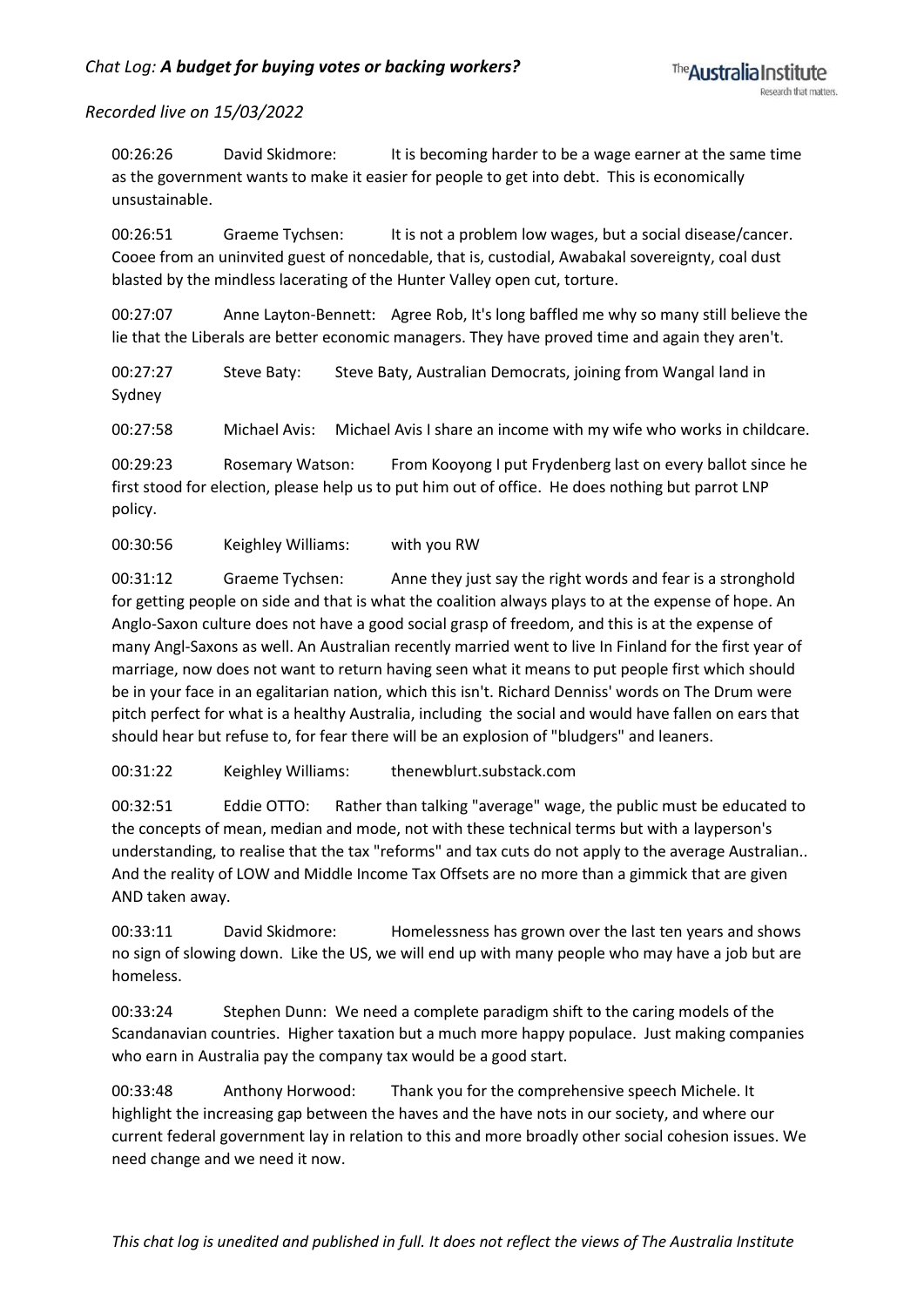00:26:26 David Skidmore: It is becoming harder to be a wage earner at the same time as the government wants to make it easier for people to get into debt. This is economically unsustainable.

00:26:51 Graeme Tychsen: It is not a problem low wages, but a social disease/cancer. Cooee from an uninvited guest of noncedable, that is, custodial, Awabakal sovereignty, coal dust blasted by the mindless lacerating of the Hunter Valley open cut, torture.

00:27:07 Anne Layton-Bennett: Agree Rob, It's long baffled me why so many still believe the lie that the Liberals are better economic managers. They have proved time and again they aren't.

00:27:27 Steve Baty: Steve Baty, Australian Democrats, joining from Wangal land in Sydney

00:27:58 Michael Avis: Michael Avis I share an income with my wife who works in childcare.

00:29:23 Rosemary Watson: From Kooyong I put Frydenberg last on every ballot since he first stood for election, please help us to put him out of office. He does nothing but parrot LNP policy.

00:30:56 Keighley Williams: with you RW

00:31:12 Graeme Tychsen: Anne they just say the right words and fear is a stronghold for getting people on side and that is what the coalition always plays to at the expense of hope. An Anglo-Saxon culture does not have a good social grasp of freedom, and this is at the expense of many Angl-Saxons as well. An Australian recently married went to live In Finland for the first year of marriage, now does not want to return having seen what it means to put people first which should be in your face in an egalitarian nation, which this isn't. Richard Denniss' words on The Drum were pitch perfect for what is a healthy Australia, including the social and would have fallen on ears that should hear but refuse to, for fear there will be an explosion of "bludgers" and leaners.

00:31:22 Keighley Williams: thenewblurt.substack.com

00:32:51 Eddie OTTO: Rather than talking "average" wage, the public must be educated to the concepts of mean, median and mode, not with these technical terms but with a layperson's understanding, to realise that the tax "reforms" and tax cuts do not apply to the average Australian.. And the reality of LOW and Middle Income Tax Offsets are no more than a gimmick that are given AND taken away.

00:33:11 David Skidmore: Homelessness has grown over the last ten years and shows no sign of slowing down. Like the US, we will end up with many people who may have a job but are homeless.

00:33:24 Stephen Dunn: We need a complete paradigm shift to the caring models of the Scandanavian countries. Higher taxation but a much more happy populace. Just making companies who earn in Australia pay the company tax would be a good start.

00:33:48 Anthony Horwood: Thank you for the comprehensive speech Michele. It highlight the increasing gap between the haves and the have nots in our society, and where our current federal government lay in relation to this and more broadly other social cohesion issues. We need change and we need it now.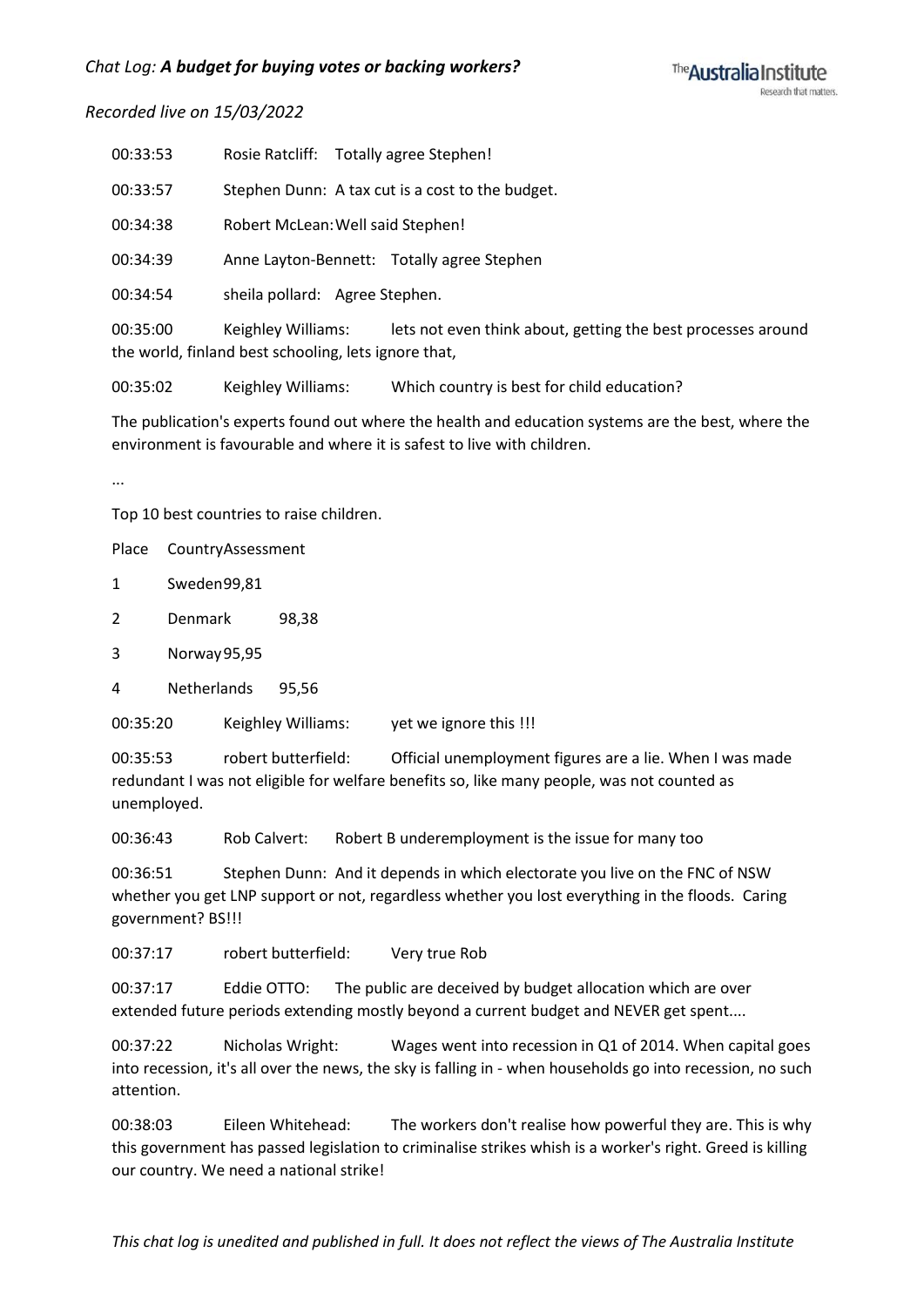| 00:33:53 | Rosie Ratcliff: Totally agree Stephen!                                             |
|----------|------------------------------------------------------------------------------------|
| 00:33:57 | Stephen Dunn: A tax cut is a cost to the budget.                                   |
| 00:34:38 | Robert McLean: Well said Stephen!                                                  |
| 00:34:39 | Anne Layton-Bennett: Totally agree Stephen                                         |
| 00:34:54 | sheila pollard: Agree Stephen.                                                     |
| 00:35:00 | lets not even think about, getting the best processes around<br>Keighley Williams: |

the world, finland best schooling, lets ignore that,

00:35:02 Keighley Williams: Which country is best for child education?

The publication's experts found out where the health and education systems are the best, where the environment is favourable and where it is safest to live with children.

...

Top 10 best countries to raise children.

Place CountryAssessment

1 Sweden99,81

- 2 Denmark 98,38
- 3 Norway95,95

4 Netherlands 95,56

00:35:20 Keighley Williams: vet we ignore this !!!

00:35:53 robert butterfield: Official unemployment figures are a lie. When I was made redundant I was not eligible for welfare benefits so, like many people, was not counted as unemployed.

00:36:43 Rob Calvert: Robert B underemployment is the issue for many too

00:36:51 Stephen Dunn: And it depends in which electorate you live on the FNC of NSW whether you get LNP support or not, regardless whether you lost everything in the floods. Caring government? BS!!!

00:37:17 robert butterfield: Very true Rob

00:37:17 Eddie OTTO: The public are deceived by budget allocation which are over extended future periods extending mostly beyond a current budget and NEVER get spent....

00:37:22 Nicholas Wright: Wages went into recession in Q1 of 2014. When capital goes into recession, it's all over the news, the sky is falling in - when households go into recession, no such attention.

00:38:03 Eileen Whitehead: The workers don't realise how powerful they are. This is why this government has passed legislation to criminalise strikes whish is a worker's right. Greed is killing our country. We need a national strike!

*This chat log is unedited and published in full. It does not reflect the views of The Australia Institute*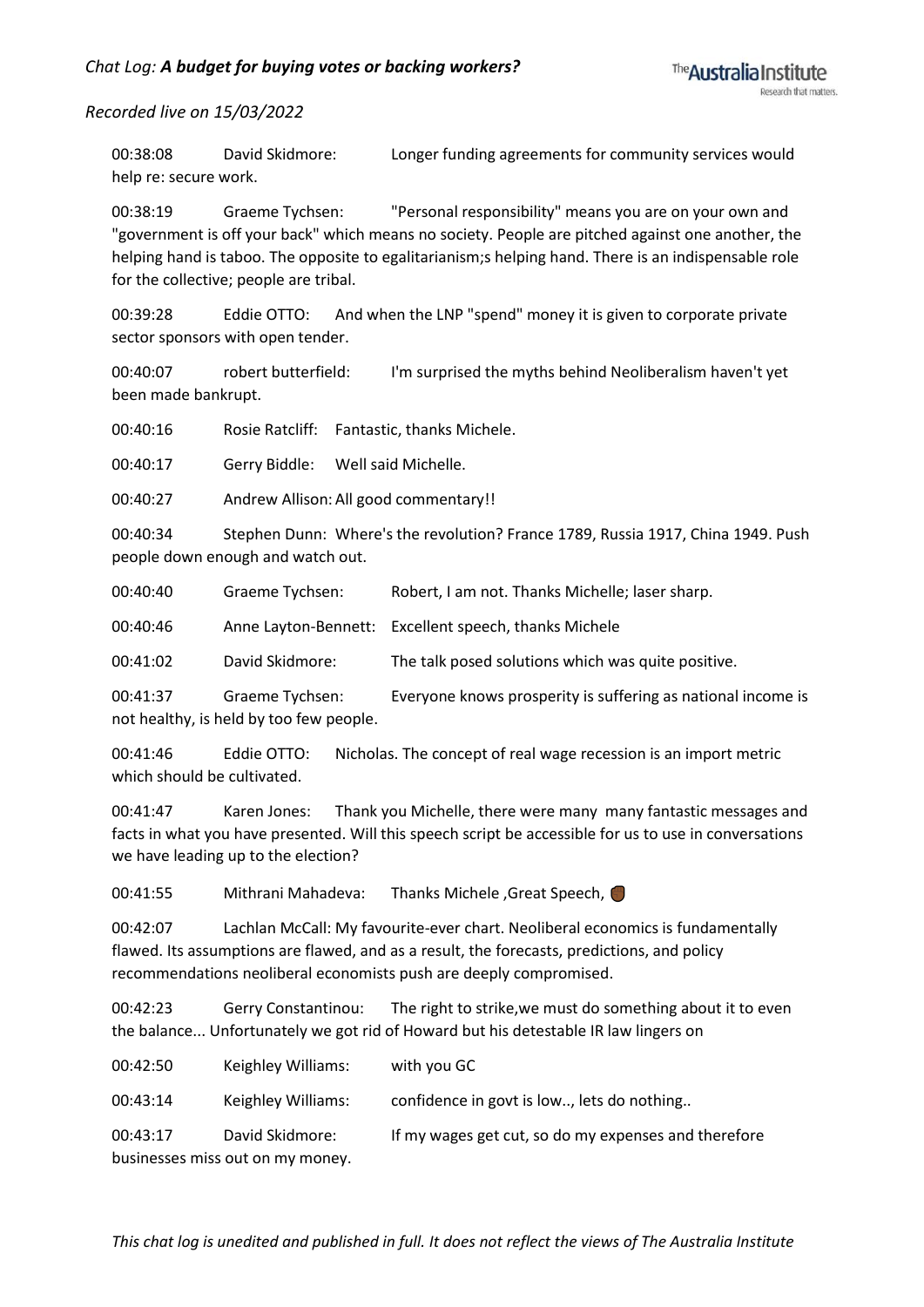00:38:08 David Skidmore: Longer funding agreements for community services would help re: secure work.

00:38:19 Graeme Tychsen: "Personal responsibility" means you are on your own and "government is off your back" which means no society. People are pitched against one another, the helping hand is taboo. The opposite to egalitarianism;s helping hand. There is an indispensable role for the collective; people are tribal.

00:39:28 Eddie OTTO: And when the LNP "spend" money it is given to corporate private sector sponsors with open tender.

00:40:07 robert butterfield: I'm surprised the myths behind Neoliberalism haven't yet been made bankrupt.

00:40:16 Rosie Ratcliff: Fantastic, thanks Michele.

00:40:17 Gerry Biddle: Well said Michelle.

00:40:27 Andrew Allison: All good commentary!!

00:40:34 Stephen Dunn: Where's the revolution? France 1789, Russia 1917, China 1949. Push people down enough and watch out.

00:40:40 Graeme Tychsen: Robert, I am not. Thanks Michelle; laser sharp.

00:40:46 Anne Layton-Bennett: Excellent speech, thanks Michele

00:41:02 David Skidmore: The talk posed solutions which was quite positive.

00:41:37 Graeme Tychsen: Everyone knows prosperity is suffering as national income is not healthy, is held by too few people.

00:41:46 Eddie OTTO: Nicholas. The concept of real wage recession is an import metric which should be cultivated.

00:41:47 Karen Jones: Thank you Michelle, there were many many fantastic messages and facts in what you have presented. Will this speech script be accessible for us to use in conversations we have leading up to the election?

00:41:55 Mithrani Mahadeva: Thanks Michele ,Great Speech,

00:42:07 Lachlan McCall: My favourite-ever chart. Neoliberal economics is fundamentally flawed. Its assumptions are flawed, and as a result, the forecasts, predictions, and policy recommendations neoliberal economists push are deeply compromised.

00:42:23 Gerry Constantinou: The right to strike,we must do something about it to even the balance... Unfortunately we got rid of Howard but his detestable IR law lingers on

00:42:50 Keighley Williams: with you GC 00:43:14 Keighley Williams: confidence in govt is low.., lets do nothing.. 00:43:17 David Skidmore: If my wages get cut, so do my expenses and therefore businesses miss out on my money.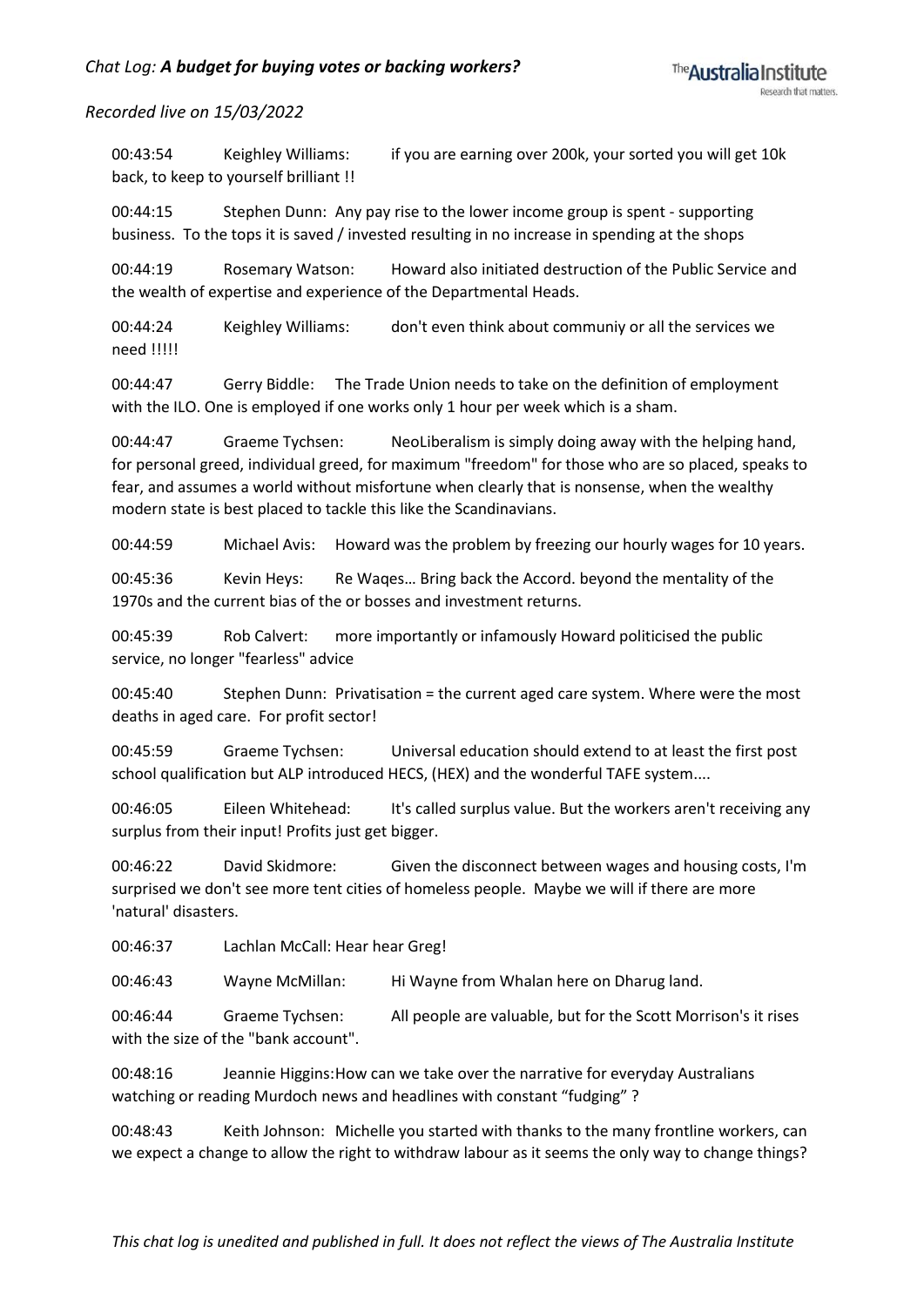00:43:54 Keighley Williams: if you are earning over 200k, your sorted you will get 10k back, to keep to yourself brilliant !!

00:44:15 Stephen Dunn: Any pay rise to the lower income group is spent - supporting business. To the tops it is saved / invested resulting in no increase in spending at the shops

00:44:19 Rosemary Watson: Howard also initiated destruction of the Public Service and the wealth of expertise and experience of the Departmental Heads.

00:44:24 Keighley Williams: don't even think about communiy or all the services we need !!!!!

00:44:47 Gerry Biddle: The Trade Union needs to take on the definition of employment with the ILO. One is employed if one works only 1 hour per week which is a sham.

00:44:47 Graeme Tychsen: NeoLiberalism is simply doing away with the helping hand, for personal greed, individual greed, for maximum "freedom" for those who are so placed, speaks to fear, and assumes a world without misfortune when clearly that is nonsense, when the wealthy modern state is best placed to tackle this like the Scandinavians.

00:44:59 Michael Avis: Howard was the problem by freezing our hourly wages for 10 years.

00:45:36 Kevin Heys: Re Waqes… Bring back the Accord. beyond the mentality of the 1970s and the current bias of the or bosses and investment returns.

00:45:39 Rob Calvert: more importantly or infamously Howard politicised the public service, no longer "fearless" advice

00:45:40 Stephen Dunn: Privatisation = the current aged care system. Where were the most deaths in aged care. For profit sector!

00:45:59 Graeme Tychsen: Universal education should extend to at least the first post school qualification but ALP introduced HECS, (HEX) and the wonderful TAFE system....

00:46:05 Eileen Whitehead: It's called surplus value. But the workers aren't receiving any surplus from their input! Profits just get bigger.

00:46:22 David Skidmore: Given the disconnect between wages and housing costs, I'm surprised we don't see more tent cities of homeless people. Maybe we will if there are more 'natural' disasters.

00:46:37 Lachlan McCall: Hear hear Greg!

00:46:43 Wayne McMillan: Hi Wayne from Whalan here on Dharug land.

00:46:44 Graeme Tychsen: All people are valuable, but for the Scott Morrison's it rises with the size of the "bank account".

00:48:16 Jeannie Higgins:How can we take over the narrative for everyday Australians watching or reading Murdoch news and headlines with constant "fudging" ?

00:48:43 Keith Johnson: Michelle you started with thanks to the many frontline workers, can we expect a change to allow the right to withdraw labour as it seems the only way to change things?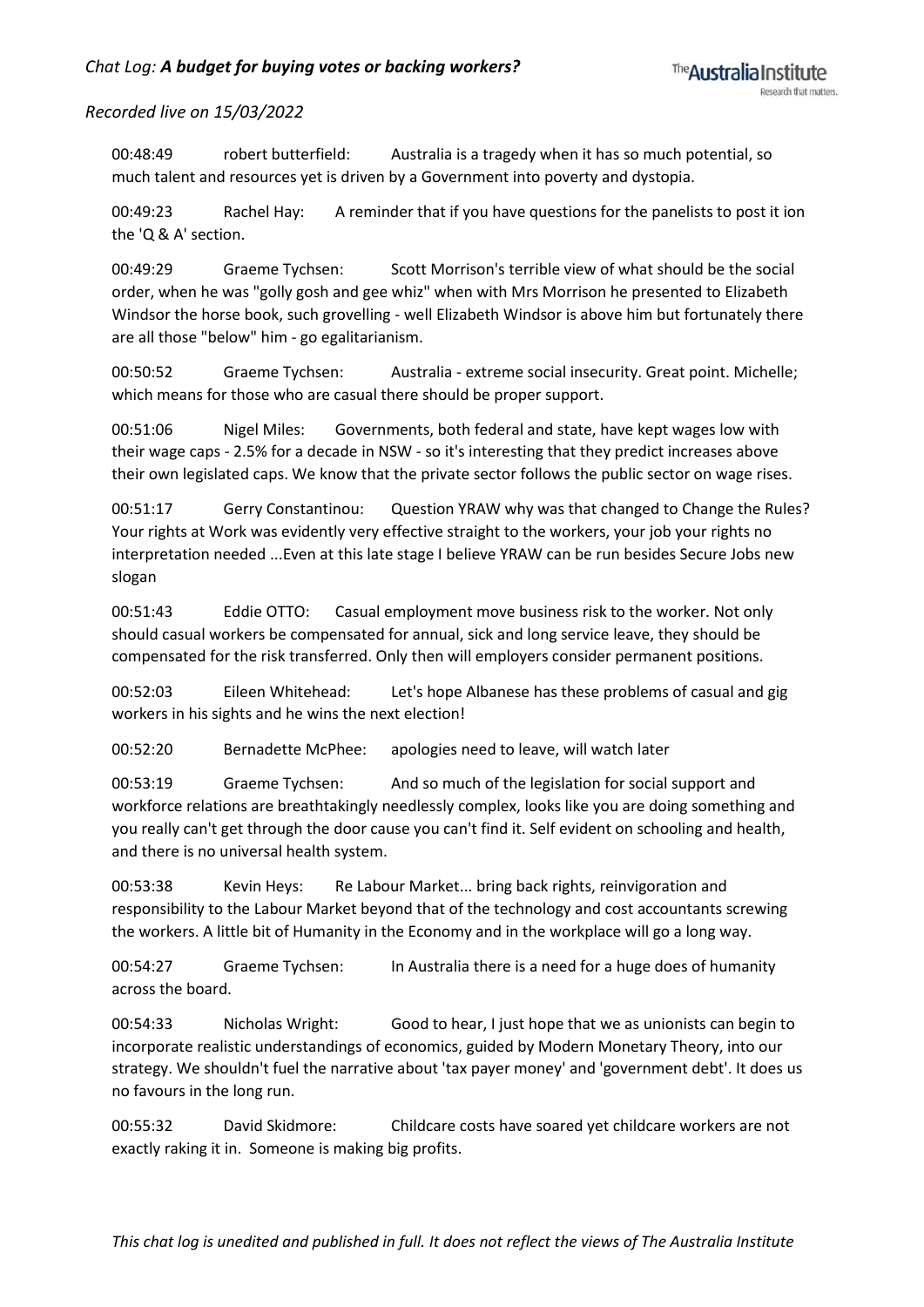00:48:49 robert butterfield: Australia is a tragedy when it has so much potential, so much talent and resources yet is driven by a Government into poverty and dystopia.

00:49:23 Rachel Hay: A reminder that if you have questions for the panelists to post it ion the 'Q & A' section.

00:49:29 Graeme Tychsen: Scott Morrison's terrible view of what should be the social order, when he was "golly gosh and gee whiz" when with Mrs Morrison he presented to Elizabeth Windsor the horse book, such grovelling - well Elizabeth Windsor is above him but fortunately there are all those "below" him - go egalitarianism.

00:50:52 Graeme Tychsen: Australia - extreme social insecurity. Great point. Michelle; which means for those who are casual there should be proper support.

00:51:06 Nigel Miles: Governments, both federal and state, have kept wages low with their wage caps - 2.5% for a decade in NSW - so it's interesting that they predict increases above their own legislated caps. We know that the private sector follows the public sector on wage rises.

00:51:17 Gerry Constantinou: Question YRAW why was that changed to Change the Rules? Your rights at Work was evidently very effective straight to the workers, your job your rights no interpretation needed ...Even at this late stage I believe YRAW can be run besides Secure Jobs new slogan

00:51:43 Eddie OTTO: Casual employment move business risk to the worker. Not only should casual workers be compensated for annual, sick and long service leave, they should be compensated for the risk transferred. Only then will employers consider permanent positions.

00:52:03 Eileen Whitehead: Let's hope Albanese has these problems of casual and gig workers in his sights and he wins the next election!

00:52:20 Bernadette McPhee: apologies need to leave, will watch later

00:53:19 Graeme Tychsen: And so much of the legislation for social support and workforce relations are breathtakingly needlessly complex, looks like you are doing something and you really can't get through the door cause you can't find it. Self evident on schooling and health, and there is no universal health system.

00:53:38 Kevin Heys: Re Labour Market... bring back rights, reinvigoration and responsibility to the Labour Market beyond that of the technology and cost accountants screwing the workers. A little bit of Humanity in the Economy and in the workplace will go a long way.

00:54:27 Graeme Tychsen: In Australia there is a need for a huge does of humanity across the board.

00:54:33 Nicholas Wright: Good to hear, I just hope that we as unionists can begin to incorporate realistic understandings of economics, guided by Modern Monetary Theory, into our strategy. We shouldn't fuel the narrative about 'tax payer money' and 'government debt'. It does us no favours in the long run.

00:55:32 David Skidmore: Childcare costs have soared yet childcare workers are not exactly raking it in. Someone is making big profits.

*This chat log is unedited and published in full. It does not reflect the views of The Australia Institute*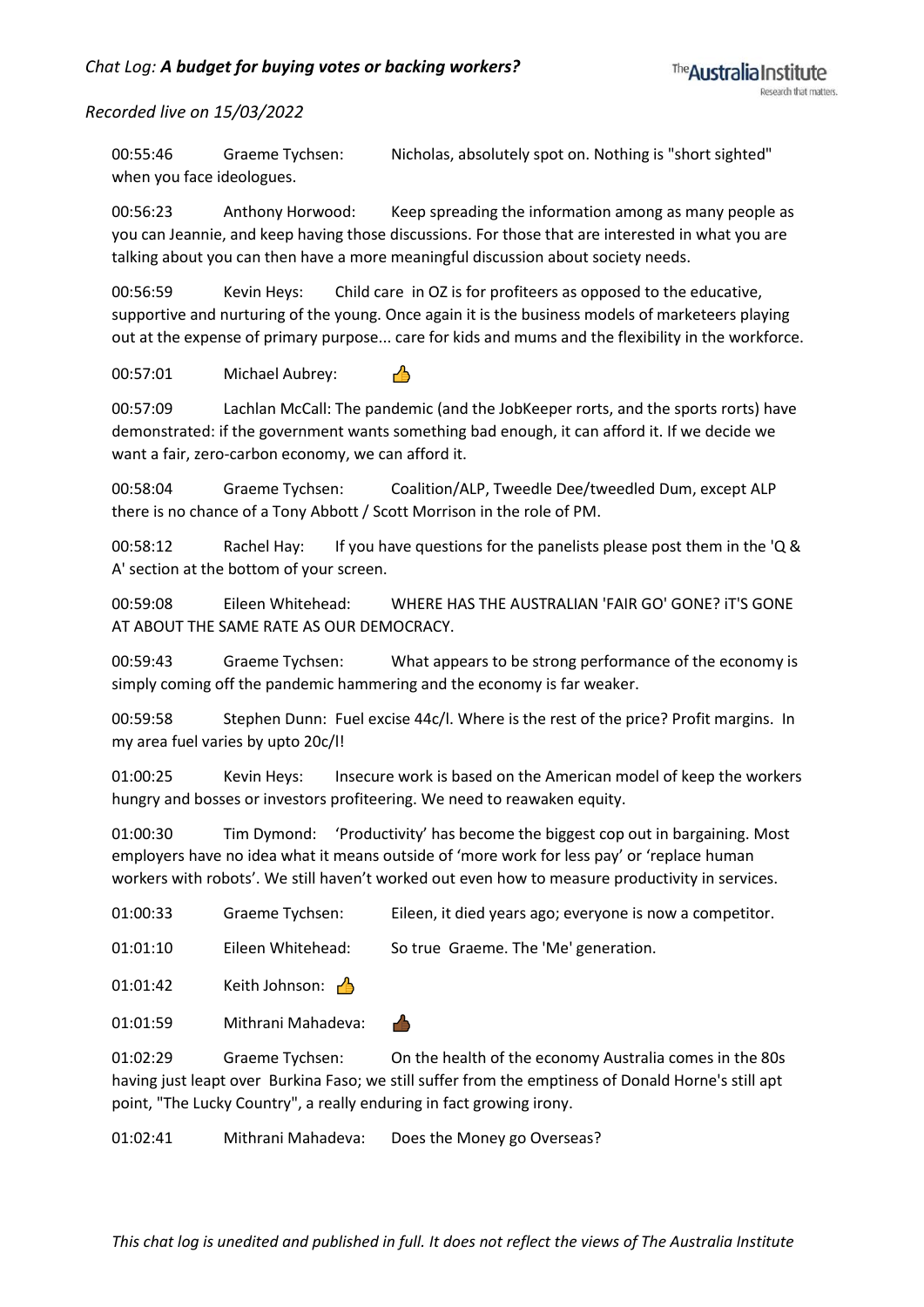00:55:46 Graeme Tychsen: Nicholas, absolutely spot on. Nothing is "short sighted" when you face ideologues.

00:56:23 Anthony Horwood: Keep spreading the information among as many people as you can Jeannie, and keep having those discussions. For those that are interested in what you are talking about you can then have a more meaningful discussion about society needs.

00:56:59 Kevin Heys: Child care in OZ is for profiteers as opposed to the educative, supportive and nurturing of the young. Once again it is the business models of marketeers playing out at the expense of primary purpose... care for kids and mums and the flexibility in the workforce.

00:57:01 Michael Aubrey:  $\bigcap_{i=1}^n$ 

00:57:09 Lachlan McCall: The pandemic (and the JobKeeper rorts, and the sports rorts) have demonstrated: if the government wants something bad enough, it can afford it. If we decide we want a fair, zero-carbon economy, we can afford it.

00:58:04 Graeme Tychsen: Coalition/ALP, Tweedle Dee/tweedled Dum, except ALP there is no chance of a Tony Abbott / Scott Morrison in the role of PM.

00:58:12 Rachel Hay: If you have questions for the panelists please post them in the 'Q & A' section at the bottom of your screen.

00:59:08 Eileen Whitehead: WHERE HAS THE AUSTRALIAN 'FAIR GO' GONE? iT'S GONE AT ABOUT THE SAME RATE AS OUR DEMOCRACY.

00:59:43 Graeme Tychsen: What appears to be strong performance of the economy is simply coming off the pandemic hammering and the economy is far weaker.

00:59:58 Stephen Dunn: Fuel excise 44c/l. Where is the rest of the price? Profit margins. In my area fuel varies by upto 20c/l!

01:00:25 Kevin Heys: Insecure work is based on the American model of keep the workers hungry and bosses or investors profiteering. We need to reawaken equity.

01:00:30 Tim Dymond: 'Productivity' has become the biggest cop out in bargaining. Most employers have no idea what it means outside of 'more work for less pay' or 'replace human workers with robots'. We still haven't worked out even how to measure productivity in services.

| 01:00:33 | Graeme Tychsen:           | Eileen, it died years ago; everyone is now a competitor. |
|----------|---------------------------|----------------------------------------------------------|
| 01:01:10 | Eileen Whitehead:         | So true Graeme. The 'Me' generation.                     |
| 01:01:42 | Keith Johnson: $\sqrt{2}$ |                                                          |
| 01:01:59 | Mithrani Mahadeva:        | гĀ                                                       |
| 01:02:29 | Graeme Tychsen:           | On the health of the economy Australia comes in the 80s  |

having just leapt over Burkina Faso; we still suffer from the emptiness of Donald Horne's still apt point, "The Lucky Country", a really enduring in fact growing irony.

01:02:41 Mithrani Mahadeva: Does the Money go Overseas?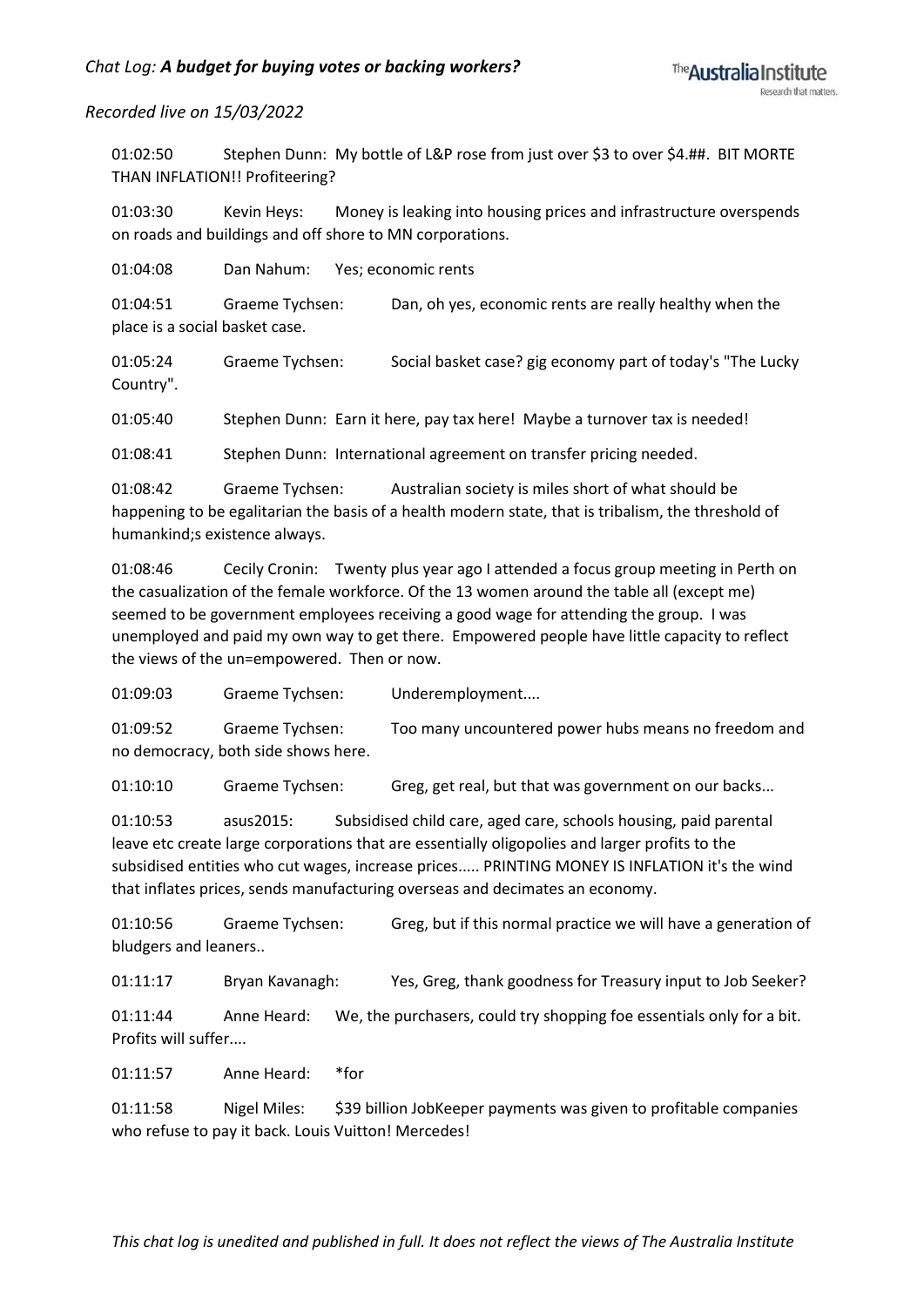01:02:50 Stephen Dunn: My bottle of L&P rose from just over \$3 to over \$4.##. BIT MORTE THAN INFLATION!! Profiteering?

01:03:30 Kevin Heys: Money is leaking into housing prices and infrastructure overspends on roads and buildings and off shore to MN corporations.

01:04:08 Dan Nahum: Yes; economic rents

01:04:51 Graeme Tychsen: Dan, oh yes, economic rents are really healthy when the place is a social basket case.

01:05:24 Graeme Tychsen: Social basket case? gig economy part of today's "The Lucky Country".

01:05:40 Stephen Dunn: Earn it here, pay tax here! Maybe a turnover tax is needed!

01:08:41 Stephen Dunn: International agreement on transfer pricing needed.

01:08:42 Graeme Tychsen: Australian society is miles short of what should be happening to be egalitarian the basis of a health modern state, that is tribalism, the threshold of humankind;s existence always.

01:08:46 Cecily Cronin: Twenty plus year ago I attended a focus group meeting in Perth on the casualization of the female workforce. Of the 13 women around the table all (except me) seemed to be government employees receiving a good wage for attending the group. I was unemployed and paid my own way to get there. Empowered people have little capacity to reflect the views of the un=empowered. Then or now.

01:09:03 Graeme Tychsen: Underemployment....

01:09:52 Graeme Tychsen: Too many uncountered power hubs means no freedom and no democracy, both side shows here.

01:10:10 Graeme Tychsen: Greg, get real, but that was government on our backs...

01:10:53 asus2015: Subsidised child care, aged care, schools housing, paid parental leave etc create large corporations that are essentially oligopolies and larger profits to the subsidised entities who cut wages, increase prices..... PRINTING MONEY IS INFLATION it's the wind that inflates prices, sends manufacturing overseas and decimates an economy.

01:10:56 Graeme Tychsen: Greg, but if this normal practice we will have a generation of bludgers and leaners..

01:11:17 Bryan Kavanagh: Yes, Greg, thank goodness for Treasury input to Job Seeker?

01:11:44 Anne Heard: We, the purchasers, could try shopping foe essentials only for a bit. Profits will suffer....

01:11:57 Anne Heard: \*for

01:11:58 Nigel Miles: \$39 billion JobKeeper payments was given to profitable companies who refuse to pay it back. Louis Vuitton! Mercedes!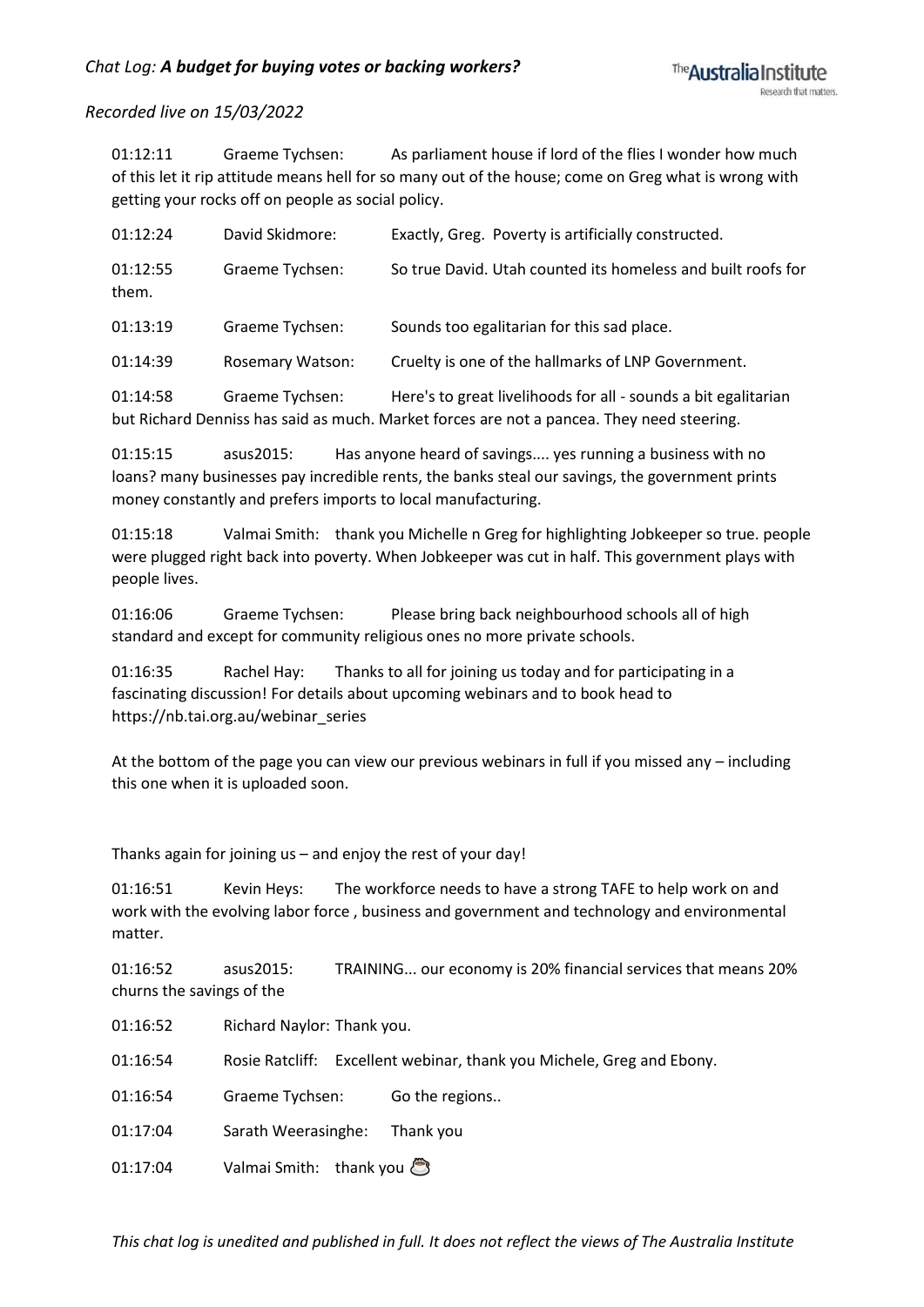01:12:11 Graeme Tychsen: As parliament house if lord of the flies I wonder how much of this let it rip attitude means hell for so many out of the house; come on Greg what is wrong with getting your rocks off on people as social policy.

| 01:12:24          | David Skidmore:  | Exactly, Greg. Poverty is artificially constructed.          |
|-------------------|------------------|--------------------------------------------------------------|
| 01:12:55<br>them. | Graeme Tychsen:  | So true David. Utah counted its homeless and built roofs for |
| 01:13:19          | Graeme Tychsen:  | Sounds too egalitarian for this sad place.                   |
| 01:14:39          | Rosemary Watson: | Cruelty is one of the hallmarks of LNP Government.           |

01:14:58 Graeme Tychsen: Here's to great livelihoods for all - sounds a bit egalitarian but Richard Denniss has said as much. Market forces are not a pancea. They need steering.

01:15:15 asus2015: Has anyone heard of savings.... yes running a business with no loans? many businesses pay incredible rents, the banks steal our savings, the government prints money constantly and prefers imports to local manufacturing.

01:15:18 Valmai Smith: thank you Michelle n Greg for highlighting Jobkeeper so true. people were plugged right back into poverty. When Jobkeeper was cut in half. This government plays with people lives.

01:16:06 Graeme Tychsen: Please bring back neighbourhood schools all of high standard and except for community religious ones no more private schools.

01:16:35 Rachel Hay: Thanks to all for joining us today and for participating in a fascinating discussion! For details about upcoming webinars and to book head to https://nb.tai.org.au/webinar\_series

At the bottom of the page you can view our previous webinars in full if you missed any – including this one when it is uploaded soon.

Thanks again for joining us – and enjoy the rest of your day!

01:16:51 Kevin Heys: The workforce needs to have a strong TAFE to help work on and work with the evolving labor force , business and government and technology and environmental matter.

01:16:52 asus2015: TRAINING... our economy is 20% financial services that means 20% churns the savings of the

01:16:52 Richard Naylor: Thank you.

01:16:54 Rosie Ratcliff: Excellent webinar, thank you Michele, Greg and Ebony.

01:16:54 Graeme Tychsen: Go the regions..

01:17:04 Sarath Weerasinghe: Thank you

01:17:04 Valmai Smith: thank you